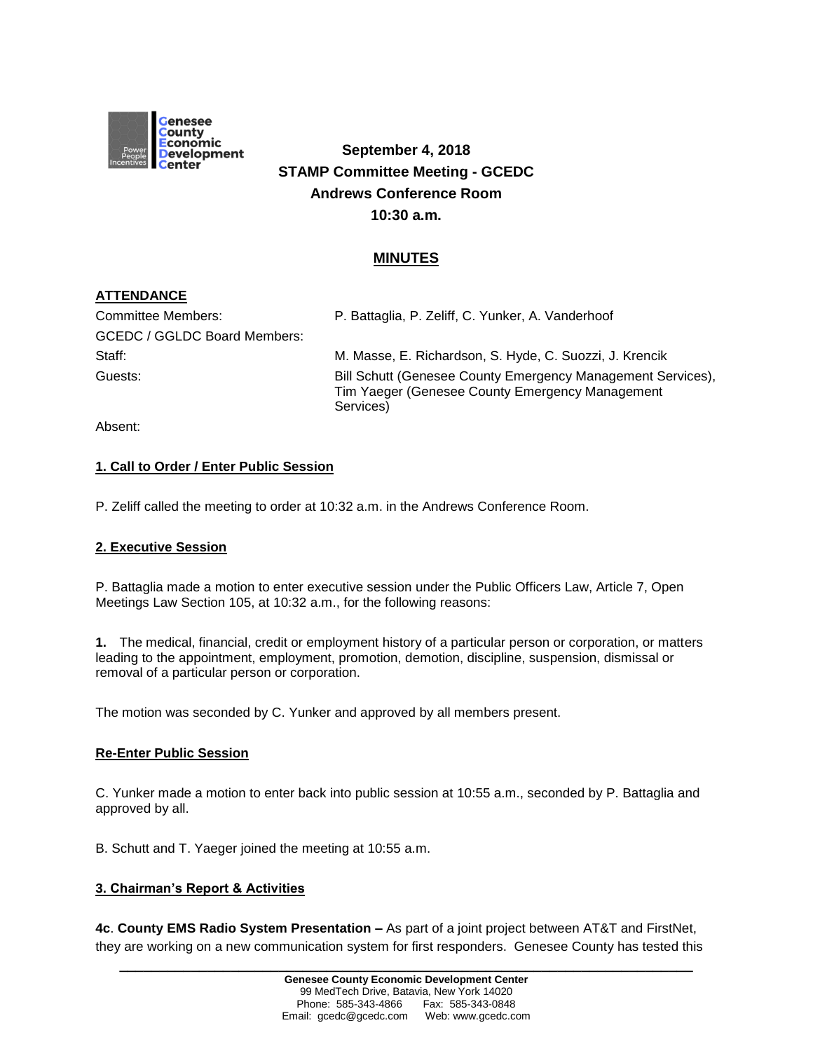

# **September 4, 2018 STAMP Committee Meeting - GCEDC Andrews Conference Room 10:30 a.m.**

## **MINUTES**

## **ATTENDANCE**

| Committee Members:                  | P. Battaglia, P. Zeliff, C. Yunker, A. Vanderhoof                                                                           |
|-------------------------------------|-----------------------------------------------------------------------------------------------------------------------------|
| <b>GCEDC / GGLDC Board Members:</b> |                                                                                                                             |
| Staff:                              | M. Masse, E. Richardson, S. Hyde, C. Suozzi, J. Krencik                                                                     |
| Guests:                             | Bill Schutt (Genesee County Emergency Management Services),<br>Tim Yaeger (Genesee County Emergency Management<br>Services) |

Absent:

## **1. Call to Order / Enter Public Session**

P. Zeliff called the meeting to order at 10:32 a.m. in the Andrews Conference Room.

#### **2. Executive Session**

P. Battaglia made a motion to enter executive session under the Public Officers Law, Article 7, Open Meetings Law Section 105, at 10:32 a.m., for the following reasons:

**1.** The medical, financial, credit or employment history of a particular person or corporation, or matters leading to the appointment, employment, promotion, demotion, discipline, suspension, dismissal or removal of a particular person or corporation.

The motion was seconded by C. Yunker and approved by all members present.

#### **Re-Enter Public Session**

C. Yunker made a motion to enter back into public session at 10:55 a.m., seconded by P. Battaglia and approved by all.

B. Schutt and T. Yaeger joined the meeting at 10:55 a.m.

#### **3. Chairman's Report & Activities**

**4c**. **County EMS Radio System Presentation –** As part of a joint project between AT&T and FirstNet, they are working on a new communication system for first responders. Genesee County has tested this

**\_\_\_\_\_\_\_\_\_\_\_\_\_\_\_\_\_\_\_\_\_\_\_\_\_\_\_\_\_\_\_\_\_\_\_\_\_\_\_\_\_\_\_\_\_\_\_\_\_\_\_\_\_\_\_\_\_\_\_\_\_\_\_\_\_\_\_\_\_\_\_\_**